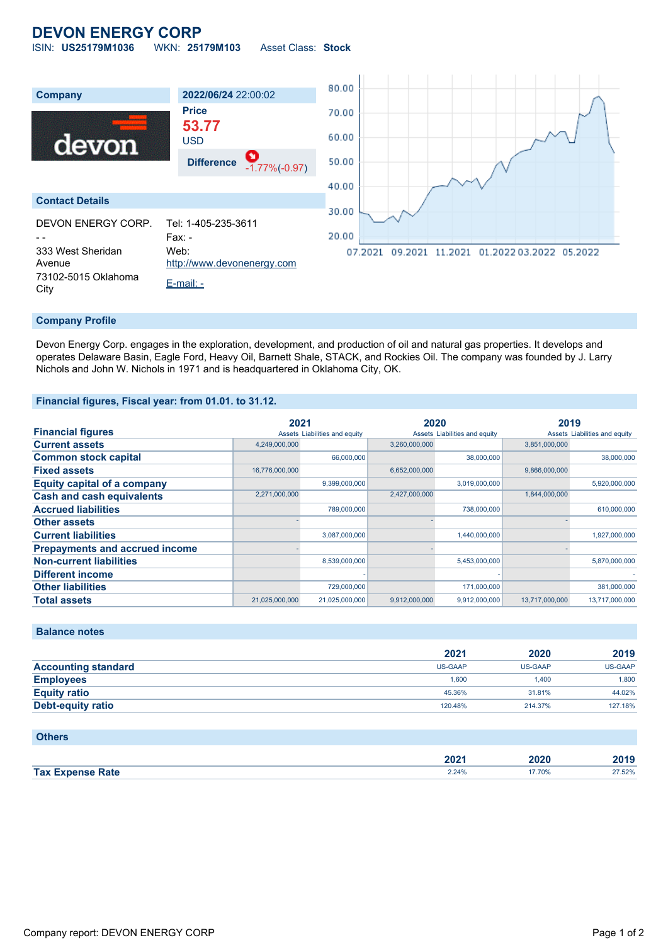# **DEVON ENERGY CORP**

ISIN: **US25179M1036** WKN: **25179M103** Asset Class: **Stock**



### **Company Profile**

Devon Energy Corp. engages in the exploration, development, and production of oil and natural gas properties. It develops and operates Delaware Basin, Eagle Ford, Heavy Oil, Barnett Shale, STACK, and Rockies Oil. The company was founded by J. Larry Nichols and John W. Nichols in 1971 and is headquartered in Oklahoma City, OK.

#### **Financial figures, Fiscal year: from 01.01. to 31.12.**

|                                       | 2021           |                               | 2020          |                               | 2019           |                               |
|---------------------------------------|----------------|-------------------------------|---------------|-------------------------------|----------------|-------------------------------|
| <b>Financial figures</b>              |                | Assets Liabilities and equity |               | Assets Liabilities and equity |                | Assets Liabilities and equity |
| <b>Current assets</b>                 | 4,249,000,000  |                               | 3,260,000,000 |                               | 3,851,000,000  |                               |
| <b>Common stock capital</b>           |                | 66,000,000                    |               | 38,000,000                    |                | 38,000,000                    |
| <b>Fixed assets</b>                   | 16,776,000,000 |                               | 6,652,000,000 |                               | 9,866,000,000  |                               |
| <b>Equity capital of a company</b>    |                | 9,399,000,000                 |               | 3,019,000,000                 |                | 5,920,000,000                 |
| <b>Cash and cash equivalents</b>      | 2,271,000,000  |                               | 2,427,000,000 |                               | 1,844,000,000  |                               |
| <b>Accrued liabilities</b>            |                | 789,000,000                   |               | 738,000,000                   |                | 610,000,000                   |
| <b>Other assets</b>                   |                |                               |               |                               |                |                               |
| <b>Current liabilities</b>            |                | 3,087,000,000                 |               | 1,440,000,000                 |                | 1,927,000,000                 |
| <b>Prepayments and accrued income</b> |                |                               |               |                               |                |                               |
| <b>Non-current liabilities</b>        |                | 8,539,000,000                 |               | 5,453,000,000                 |                | 5,870,000,000                 |
| <b>Different income</b>               |                |                               |               |                               |                |                               |
| <b>Other liabilities</b>              |                | 729,000,000                   |               | 171,000,000                   |                | 381,000,000                   |
| <b>Total assets</b>                   | 21,025,000,000 | 21,025,000,000                | 9,912,000,000 | 9,912,000,000                 | 13,717,000,000 | 13,717,000,000                |

## **Balance notes**

|                            | 2021    | 2020    | 2019    |
|----------------------------|---------|---------|---------|
| <b>Accounting standard</b> | US-GAAP | US-GAAP | US-GAAP |
| <b>Employees</b>           | 1.600   | 1.400   | 1.800   |
| <b>Equity ratio</b>        | 45.36%  | 31.81%  | 44.02%  |
| <b>Debt-equity ratio</b>   | 120.48% | 214.37% | 127.18% |

### **Others**

|                         | יממ<br>ZUZ ' | 2020  | 2019   |
|-------------------------|--------------|-------|--------|
| <b>Tax Expense Rate</b> | 2.24%        | 7.70% | 27.52% |